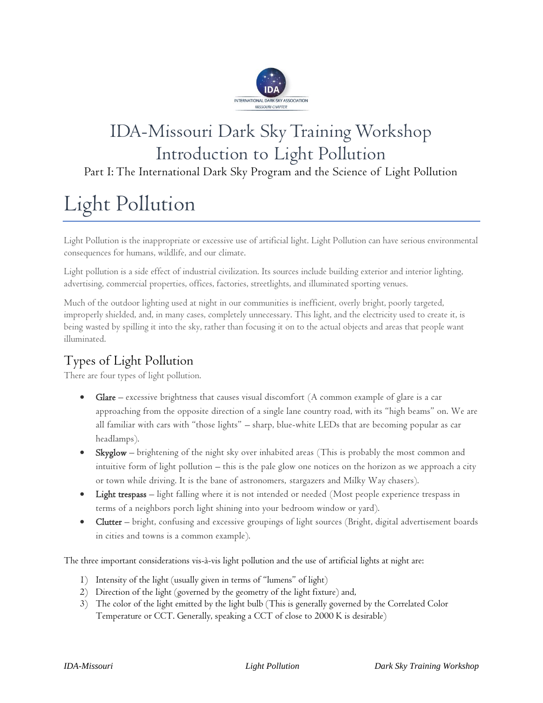

## IDA-Missouri Dark Sky Training Workshop Introduction to Light Pollution

Part I: The International Dark Sky Program and the Science of Light Pollution

# Light Pollution

Light Pollution is the inappropriate or excessive use of artificial light. Light Pollution can have serious environmental consequences for humans, wildlife, and our climate.

Light pollution is a side effect of industrial civilization. Its sources include building exterior and interior lighting, advertising, commercial properties, offices, factories, streetlights, and illuminated sporting venues.

Much of the outdoor lighting used at night in our communities is inefficient, overly bright, poorly targeted, improperly shielded, and, in many cases, completely unnecessary. This light, and the electricity used to create it, is being wasted by spilling it into the sky, rather than focusing it on to the actual objects and areas that people want illuminated.

## Types of Light Pollution

There are four types of light pollution.

- **Glare** excessive brightness that causes visual discomfort (A common example of glare is a car approaching from the opposite direction of a single lane country road, with its "high beams" on. We are all familiar with cars with "those lights" – sharp, blue-white LEDs that are becoming popular as car headlamps).
- Skyglow brightening of the night sky over inhabited areas (This is probably the most common and intuitive form of light pollution – this is the pale glow one notices on the horizon as we approach a city or town while driving. It is the bane of astronomers, stargazers and Milky Way chasers).
- Light trespass light falling where it is not intended or needed (Most people experience trespass in terms of a neighbors porch light shining into your bedroom window or yard).
- Clutter bright, confusing and excessive groupings of light sources (Bright, digital advertisement boards in cities and towns is a common example).

The three important considerations vis-à-vis light pollution and the use of artificial lights at night are:

- 1) Intensity of the light (usually given in terms of "lumens" of light)
- 2) Direction of the light (governed by the geometry of the light fixture) and,
- 3) The color of the light emitted by the light bulb (This is generally governed by the Correlated Color Temperature or CCT. Generally, speaking a CCT of close to 2000 K is desirable)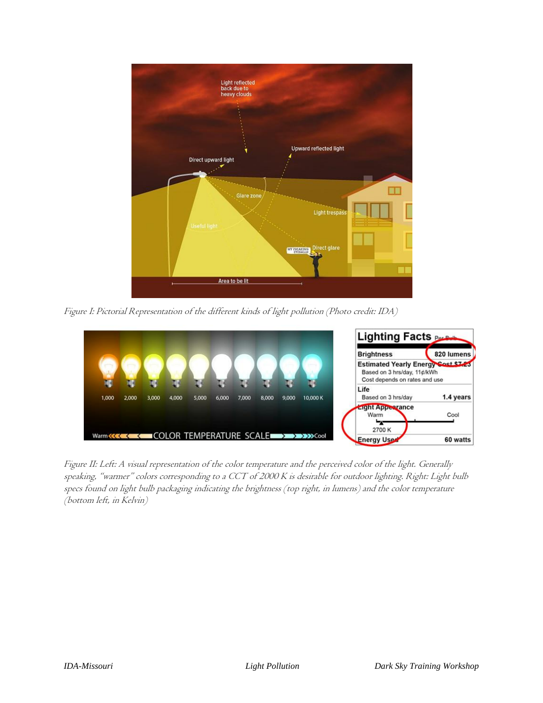

Figure I: Pictorial Representation of the different kinds of light pollution (Photo credit: IDA)



Figure II: Left: A visual representation of the color temperature and the perceived color of the light. Generally speaking, "warmer" colors corresponding to a CCT of 2000 K is desirable for outdoor lighting. Right: Light bulb specs found on light bulb packaging indicating the brightness (top right, in lumens) and the color temperature (bottom left, in Kelvin)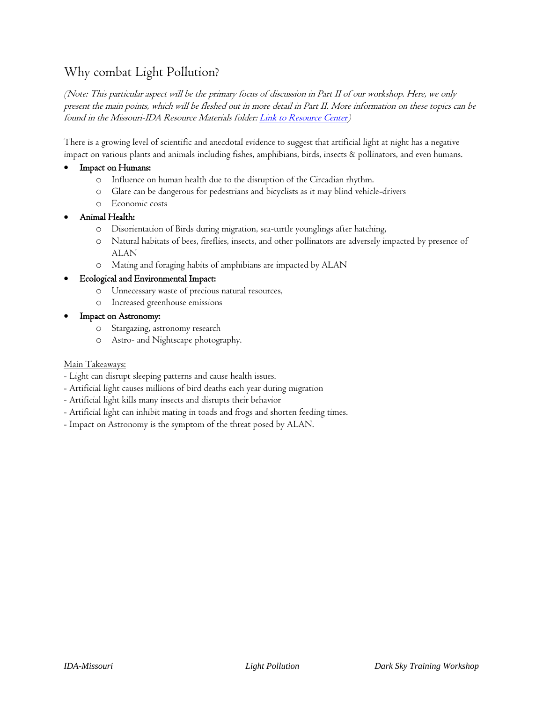## Why combat Light Pollution?

(Note: This particular aspect will be the primary focus of discussion in Part II of our workshop. Here, we only present the main points, which will be fleshed out in more detail in Part II. More information on these topics can be found in the Missouri-IDA Resource Materials folder: *Link to Resource Center*)

There is a growing level of scientific and anecdotal evidence to suggest that artificial light at night has a negative impact on various plants and animals including fishes, amphibians, birds, insects & pollinators, and even humans.

#### Impact on Humans:

- o Influence on human health due to the disruption of the Circadian rhythm.
- o Glare can be dangerous for pedestrians and bicyclists as it may blind vehicle-drivers
- o Economic costs

#### • Animal Health:

- o Disorientation of Birds during migration, sea-turtle younglings after hatching,
- o Natural habitats of bees, fireflies, insects, and other pollinators are adversely impacted by presence of ALAN
- o Mating and foraging habits of amphibians are impacted by ALAN

#### • Ecological and Environmental Impact:

- o Unnecessary waste of precious natural resources,
- o Increased greenhouse emissions

#### • Impact on Astronomy:

- o Stargazing, astronomy research
- o Astro- and Nightscape photography.

#### Main Takeaways:

- Light can disrupt sleeping patterns and cause health issues.
- Artificial light causes millions of bird deaths each year during migration
- Artificial light kills many insects and disrupts their behavior
- Artificial light can inhibit mating in toads and frogs and shorten feeding times.
- Impact on Astronomy is the symptom of the threat posed by ALAN.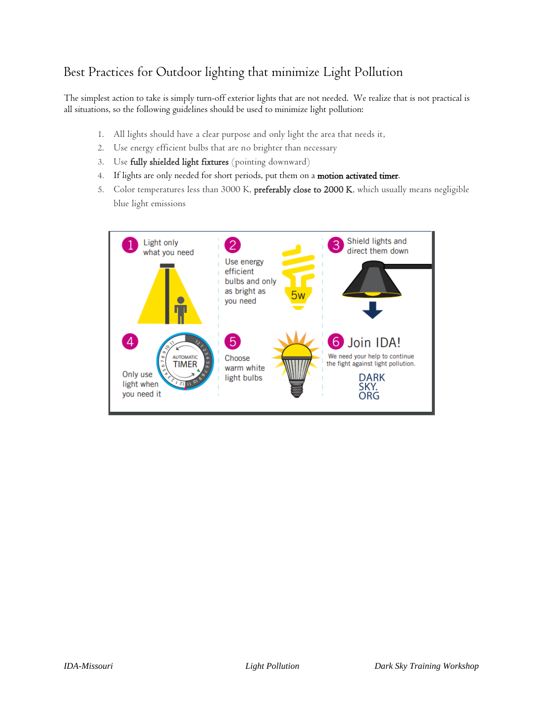## Best Practices for Outdoor lighting that minimize Light Pollution

The simplest action to take is simply turn-off exterior lights that are not needed. We realize that is not practical is all situations, so the following guidelines should be used to minimize light pollution:

- 1. All lights should have a clear purpose and only light the area that needs it,
- 2. Use energy efficient bulbs that are no brighter than necessary
- 3. Use fully shielded light fixtures (pointing downward)
- 4. If lights are only needed for short periods, put them on a motion activated timer.
- 5. Color temperatures less than 3000 K, preferably close to 2000 K, which usually means negligible blue light emissions

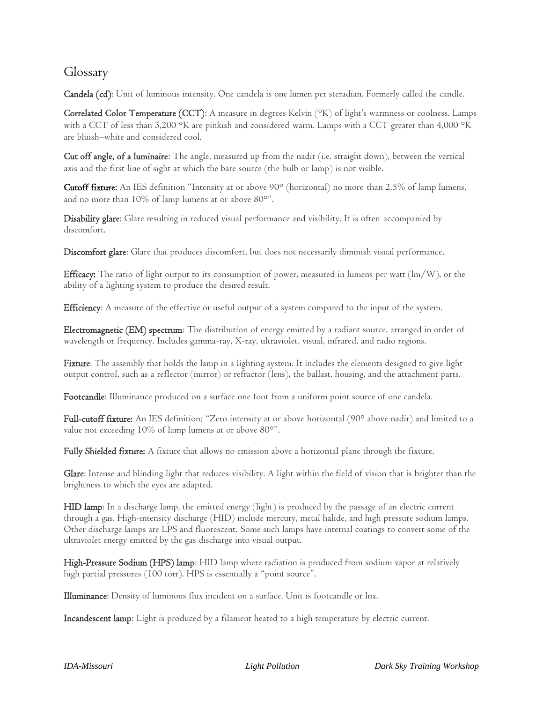### Glossary

Candela (cd): Unit of luminous intensity. One candela is one lumen per steradian. Formerly called the candle.

Correlated Color Temperature (CCT): A measure in degrees Kelvin (°K) of light's warmness or coolness. Lamps with a CCT of less than 3,200 °K are pinkish and considered warm. Lamps with a CCT greater than 4,000 °K are bluish–white and considered cool.

Cut off angle, of a luminaire: The angle, measured up from the nadir (i.e. straight down), between the vertical axis and the first line of sight at which the bare source (the bulb or lamp) is not visible.

[Cutoff fixture:](http://www.lithonia.com/micro_webs/nighttimefriendly/cutoff.asp) An IES definition "Intensity at or above 90° (horizontal) no more than 2.5% of lamp lumens, and no more than 10% of lamp lumens at or above 80°".

Disability glare: Glare resulting in reduced visual performance and visibility. It is often accompanied by discomfort.

Discomfort glare: Glare that produces discomfort, but does not necessarily diminish visual performance.

Efficacy: The ratio of light output to its consumption of power, measured in lumens per watt (lm/W), or the ability of a lighting system to produce the desired result.

Efficiency: A measure of the effective or useful output of a system compared to the input of the system.

Electromagnetic (EM) spectrum: The distribution of energy emitted by a radiant source, arranged in order of wavelength or frequency. Includes gamma-ray, X-ray, ultraviolet, visual, infrared, and radio regions.

Fixture: The assembly that holds the lamp in a lighting system. It includes the elements designed to give light output control, such as a reflector (mirror) or refractor (lens), the ballast, housing, and the attachment parts.

Footcandle: Illuminance produced on a surface one foot from a uniform point source of one candela.

Full-cutoff fixture: An IES definition; "Zero intensity at or above horizontal (90° above nadir) and limited to a value not exceeding 10% of lamp lumens at or above 80°".

Fully Shielded fixture: A fixture that allows no emission above a horizontal plane through the fixture.

Glare: Intense and blinding light that reduces visibility. A light within the field of vision that is brighter than the brightness to which the eyes are adapted.

HID lamp: In a discharge lamp, the emitted energy (light) is produced by the passage of an electric current through a gas. High-intensity discharge (HID) include mercury, metal halide, and high pressure sodium lamps. Other discharge lamps are LPS and fluorescent. Some such lamps have internal coatings to convert some of the ultraviolet energy emitted by the gas discharge into visual output.

High-Pressure Sodium (HPS) lamp: HID lamp where radiation is produced from sodium vapor at relatively high partial pressures (100 torr). HPS is essentially a "point source".

Illuminance: Density of luminous flux incident on a surface. Unit is footcandle or lux.

Incandescent lamp: Light is produced by a filament heated to a high temperature by electric current.